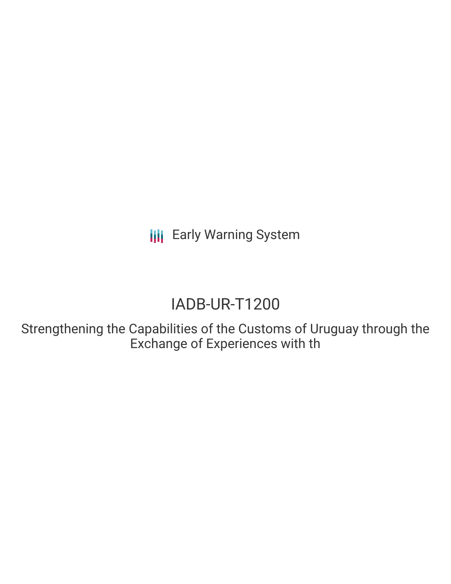**III** Early Warning System

# IADB-UR-T1200

Strengthening the Capabilities of the Customs of Uruguay through the Exchange of Experiences with th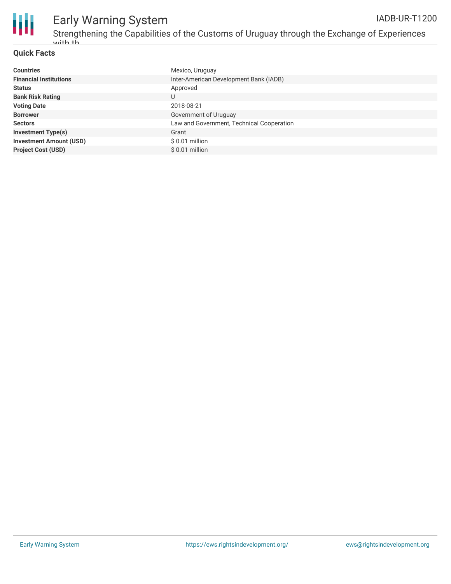

## Early Warning System

Strengthening the Capabilities of the Customs of Uruguay through the Exchange of Experiences with th IADB-UR-T1200

### **Quick Facts**

| <b>Countries</b>               | Mexico, Uruguay                           |
|--------------------------------|-------------------------------------------|
| <b>Financial Institutions</b>  | Inter-American Development Bank (IADB)    |
| <b>Status</b>                  | Approved                                  |
| <b>Bank Risk Rating</b>        | U                                         |
| <b>Voting Date</b>             | 2018-08-21                                |
| <b>Borrower</b>                | Government of Uruguay                     |
| <b>Sectors</b>                 | Law and Government, Technical Cooperation |
| <b>Investment Type(s)</b>      | Grant                                     |
| <b>Investment Amount (USD)</b> | $$0.01$ million                           |
| <b>Project Cost (USD)</b>      | $$0.01$ million                           |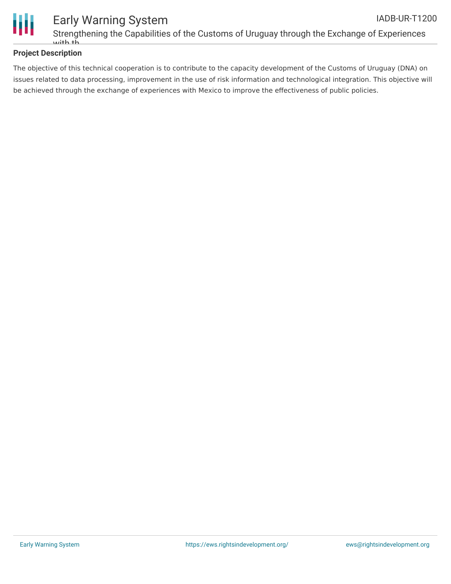

### **Project Description**

The objective of this technical cooperation is to contribute to the capacity development of the Customs of Uruguay (DNA) on issues related to data processing, improvement in the use of risk information and technological integration. This objective will be achieved through the exchange of experiences with Mexico to improve the effectiveness of public policies.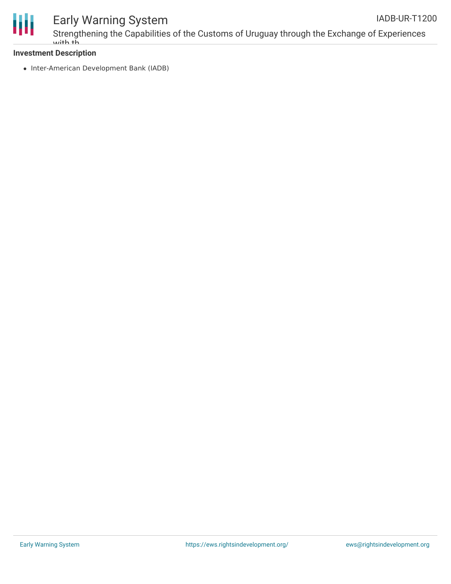

## Early Warning System

Strengthening the Capabilities of the Customs of Uruguay through the Exchange of Experiences with th

### **Investment Description**

• Inter-American Development Bank (IADB)